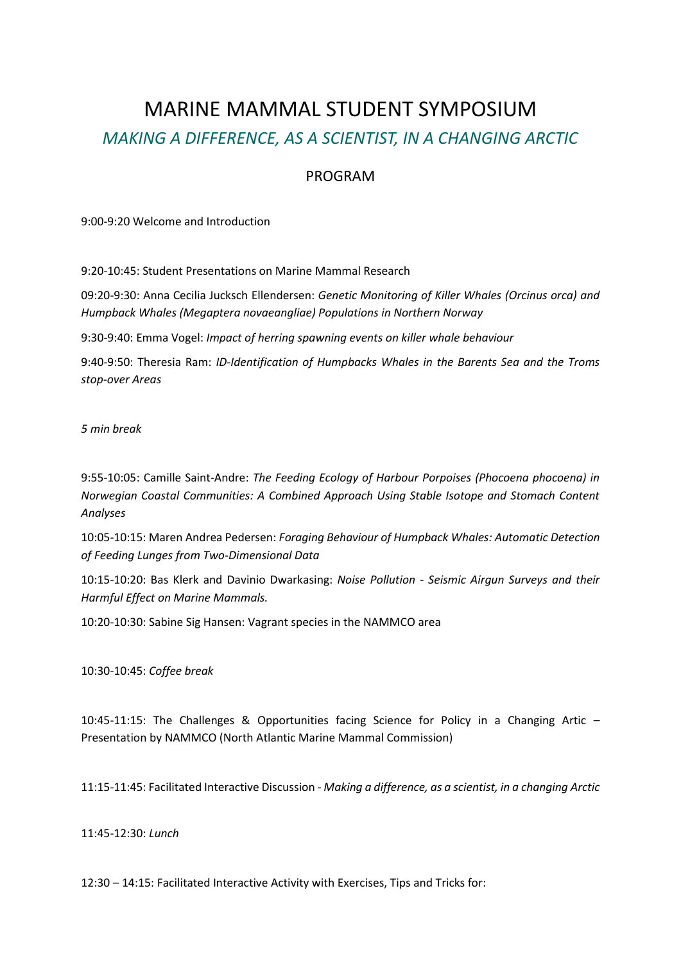## MARINE MAMMAL STUDENT SYMPOSIUM *MAKING A DIFFERENCE, AS A SCIENTIST, IN A CHANGING ARCTIC*

## PROGRAM

9:00-9:20 Welcome and Introduction

9:20-10:45: Student Presentations on Marine Mammal Research

09:20-9:30: Anna Cecilia Jucksch Ellendersen: *Genetic Monitoring of Killer Whales (Orcinus orca) and Humpback Whales (Megaptera novaeangliae) Populations in Northern Norway*

9:30-9:40: Emma Vogel: *Impact of herring spawning events on killer whale behaviour*

9:40-9:50: Theresia Ram: *ID-Identification of Humpbacks Whales in the Barents Sea and the Troms stop-over Areas*

*5 min break*

9:55-10:05: Camille Saint-Andre: *The Feeding Ecology of Harbour Porpoises (Phocoena phocoena) in Norwegian Coastal Communities: A Combined Approach Using Stable Isotope and Stomach Content Analyses*

10:05-10:15: Maren Andrea Pedersen: *Foraging Behaviour of Humpback Whales: Automatic Detection of Feeding Lunges from Two-Dimensional Data*

10:15-10:20: Bas Klerk and Davinio Dwarkasing: *Noise Pollution - Seismic Airgun Surveys and their Harmful Effect on Marine Mammals.*

10:20-10:30: Sabine Sig Hansen: Vagrant species in the NAMMCO area

10:30-10:45: *Coffee break*

10:45-11:15: The Challenges & Opportunities facing Science for Policy in a Changing Artic – Presentation by NAMMCO (North Atlantic Marine Mammal Commission)

11:15-11:45: Facilitated Interactive Discussion - *Making a difference, as a scientist, in a changing Arctic*

11:45-12:30: *Lunch*

12:30 – 14:15: Facilitated Interactive Activity with Exercises, Tips and Tricks for: